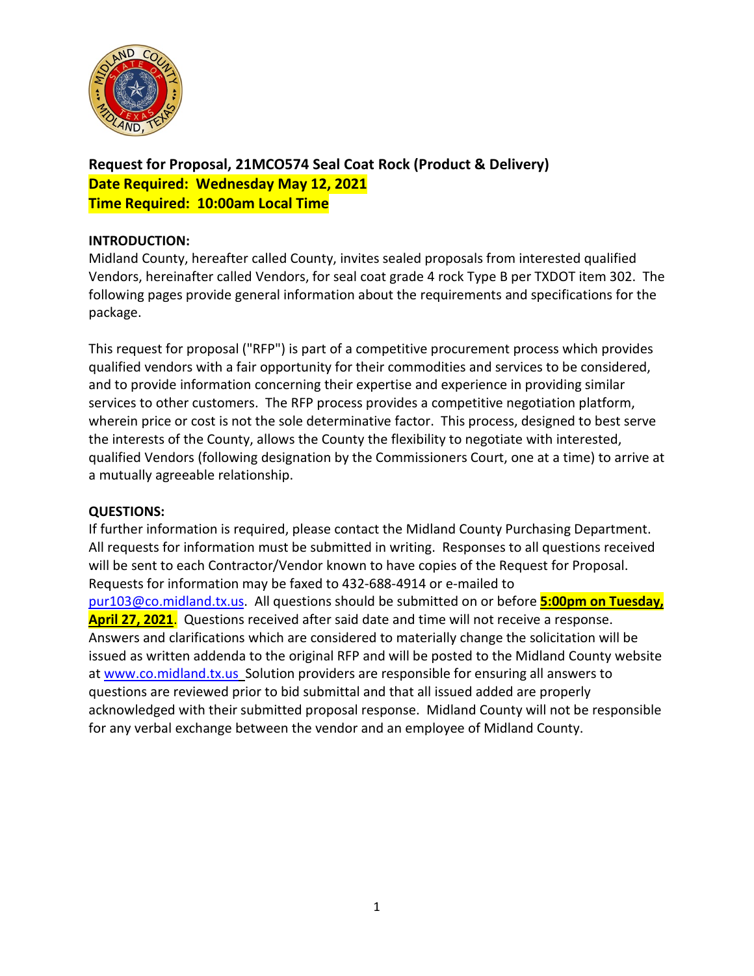

**Request for Proposal, 21MCO574 Seal Coat Rock (Product & Delivery) Date Required: Wednesday May 12, 2021 Time Required: 10:00am Local Time**

### **INTRODUCTION:**

Midland County, hereafter called County, invites sealed proposals from interested qualified Vendors, hereinafter called Vendors, for seal coat grade 4 rock Type B per TXDOT item 302. The following pages provide general information about the requirements and specifications for the package.

This request for proposal ("RFP") is part of a competitive procurement process which provides qualified vendors with a fair opportunity for their commodities and services to be considered, and to provide information concerning their expertise and experience in providing similar services to other customers. The RFP process provides a competitive negotiation platform, wherein price or cost is not the sole determinative factor. This process, designed to best serve the interests of the County, allows the County the flexibility to negotiate with interested, qualified Vendors (following designation by the Commissioners Court, one at a time) to arrive at a mutually agreeable relationship.

# **QUESTIONS:**

If further information is required, please contact the Midland County Purchasing Department. All requests for information must be submitted in writing. Responses to all questions received will be sent to each Contractor/Vendor known to have copies of the Request for Proposal. Requests for information may be faxed to 432-688-4914 or e-mailed to [pur103@co.midland.tx.us.](mailto:pur103@co.midland.tx.us) All questions should be submitted on or before **5:00pm on Tuesday, April 27, 2021**. Questions received after said date and time will not receive a response. Answers and clarifications which are considered to materially change the solicitation will be issued as written addenda to the original RFP and will be posted to the Midland County website at [www.co.midland.tx.us](http://www.co.midland.tx.us/) Solution providers are responsible for ensuring all answers to questions are reviewed prior to bid submittal and that all issued added are properly acknowledged with their submitted proposal response. Midland County will not be responsible for any verbal exchange between the vendor and an employee of Midland County.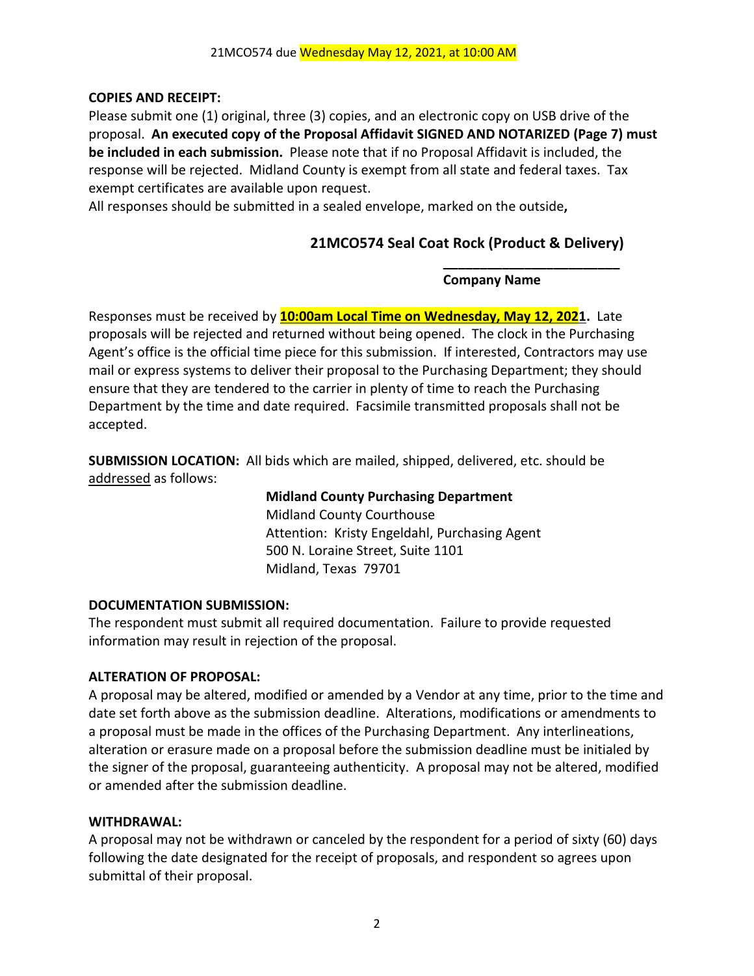# **COPIES AND RECEIPT:**

Please submit one (1) original, three (3) copies, and an electronic copy on USB drive of the proposal. **An executed copy of the Proposal Affidavit SIGNED AND NOTARIZED (Page 7) must be included in each submission.** Please note that if no Proposal Affidavit is included, the response will be rejected. Midland County is exempt from all state and federal taxes. Tax exempt certificates are available upon request.

All responses should be submitted in a sealed envelope, marked on the outside**,** 

# **21MCO574 Seal Coat Rock (Product & Delivery)**

# **Company Name**

**\_\_\_\_\_\_\_\_\_\_\_\_\_\_\_\_\_\_\_\_\_\_\_\_**

Responses must be received by **10:00am Local Time on Wednesday, May 12, 2021.** Late proposals will be rejected and returned without being opened. The clock in the Purchasing Agent's office is the official time piece for this submission. If interested, Contractors may use mail or express systems to deliver their proposal to the Purchasing Department; they should ensure that they are tendered to the carrier in plenty of time to reach the Purchasing Department by the time and date required. Facsimile transmitted proposals shall not be accepted.

**SUBMISSION LOCATION:** All bids which are mailed, shipped, delivered, etc. should be addressed as follows:

> **Midland County Purchasing Department** Midland County Courthouse Attention: Kristy Engeldahl, Purchasing Agent 500 N. Loraine Street, Suite 1101 Midland, Texas 79701

# **DOCUMENTATION SUBMISSION:**

The respondent must submit all required documentation. Failure to provide requested information may result in rejection of the proposal.

# **ALTERATION OF PROPOSAL:**

A proposal may be altered, modified or amended by a Vendor at any time, prior to the time and date set forth above as the submission deadline. Alterations, modifications or amendments to a proposal must be made in the offices of the Purchasing Department. Any interlineations, alteration or erasure made on a proposal before the submission deadline must be initialed by the signer of the proposal, guaranteeing authenticity. A proposal may not be altered, modified or amended after the submission deadline.

# **WITHDRAWAL:**

A proposal may not be withdrawn or canceled by the respondent for a period of sixty (60) days following the date designated for the receipt of proposals, and respondent so agrees upon submittal of their proposal.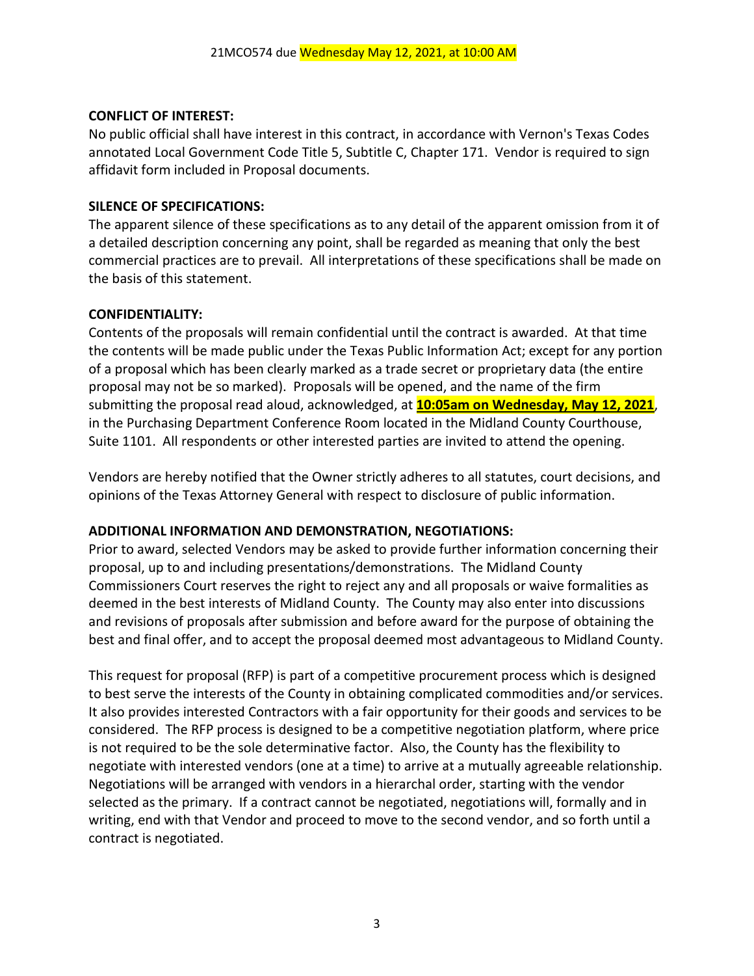### **CONFLICT OF INTEREST:**

No public official shall have interest in this contract, in accordance with Vernon's Texas Codes annotated Local Government Code Title 5, Subtitle C, Chapter 171. Vendor is required to sign affidavit form included in Proposal documents.

### **SILENCE OF SPECIFICATIONS:**

The apparent silence of these specifications as to any detail of the apparent omission from it of a detailed description concerning any point, shall be regarded as meaning that only the best commercial practices are to prevail. All interpretations of these specifications shall be made on the basis of this statement.

### **CONFIDENTIALITY:**

Contents of the proposals will remain confidential until the contract is awarded. At that time the contents will be made public under the Texas Public Information Act; except for any portion of a proposal which has been clearly marked as a trade secret or proprietary data (the entire proposal may not be so marked). Proposals will be opened, and the name of the firm submitting the proposal read aloud, acknowledged, at **10:05am on Wednesday, May 12, 2021**, in the Purchasing Department Conference Room located in the Midland County Courthouse, Suite 1101. All respondents or other interested parties are invited to attend the opening.

Vendors are hereby notified that the Owner strictly adheres to all statutes, court decisions, and opinions of the Texas Attorney General with respect to disclosure of public information.

# **ADDITIONAL INFORMATION AND DEMONSTRATION, NEGOTIATIONS:**

Prior to award, selected Vendors may be asked to provide further information concerning their proposal, up to and including presentations/demonstrations. The Midland County Commissioners Court reserves the right to reject any and all proposals or waive formalities as deemed in the best interests of Midland County. The County may also enter into discussions and revisions of proposals after submission and before award for the purpose of obtaining the best and final offer, and to accept the proposal deemed most advantageous to Midland County.

This request for proposal (RFP) is part of a competitive procurement process which is designed to best serve the interests of the County in obtaining complicated commodities and/or services. It also provides interested Contractors with a fair opportunity for their goods and services to be considered. The RFP process is designed to be a competitive negotiation platform, where price is not required to be the sole determinative factor. Also, the County has the flexibility to negotiate with interested vendors (one at a time) to arrive at a mutually agreeable relationship. Negotiations will be arranged with vendors in a hierarchal order, starting with the vendor selected as the primary. If a contract cannot be negotiated, negotiations will, formally and in writing, end with that Vendor and proceed to move to the second vendor, and so forth until a contract is negotiated.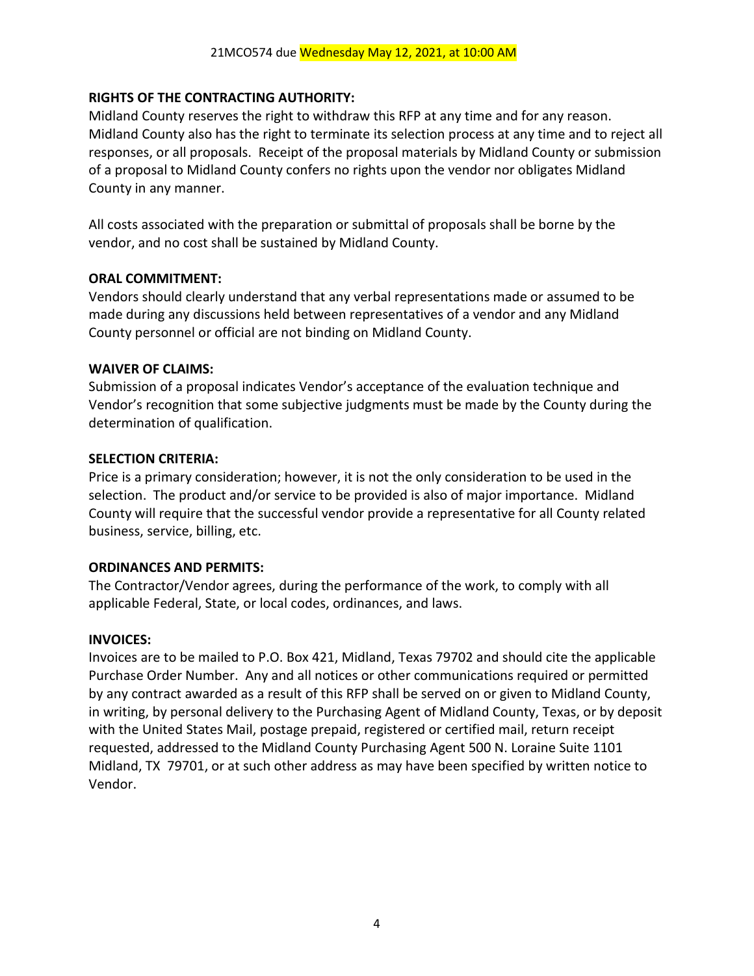# **RIGHTS OF THE CONTRACTING AUTHORITY:**

Midland County reserves the right to withdraw this RFP at any time and for any reason. Midland County also has the right to terminate its selection process at any time and to reject all responses, or all proposals. Receipt of the proposal materials by Midland County or submission of a proposal to Midland County confers no rights upon the vendor nor obligates Midland County in any manner.

All costs associated with the preparation or submittal of proposals shall be borne by the vendor, and no cost shall be sustained by Midland County.

### **ORAL COMMITMENT:**

Vendors should clearly understand that any verbal representations made or assumed to be made during any discussions held between representatives of a vendor and any Midland County personnel or official are not binding on Midland County.

### **WAIVER OF CLAIMS:**

Submission of a proposal indicates Vendor's acceptance of the evaluation technique and Vendor's recognition that some subjective judgments must be made by the County during the determination of qualification.

### **SELECTION CRITERIA:**

Price is a primary consideration; however, it is not the only consideration to be used in the selection. The product and/or service to be provided is also of major importance. Midland County will require that the successful vendor provide a representative for all County related business, service, billing, etc.

# **ORDINANCES AND PERMITS:**

The Contractor/Vendor agrees, during the performance of the work, to comply with all applicable Federal, State, or local codes, ordinances, and laws.

# **INVOICES:**

Invoices are to be mailed to P.O. Box 421, Midland, Texas 79702 and should cite the applicable Purchase Order Number. Any and all notices or other communications required or permitted by any contract awarded as a result of this RFP shall be served on or given to Midland County, in writing, by personal delivery to the Purchasing Agent of Midland County, Texas, or by deposit with the United States Mail, postage prepaid, registered or certified mail, return receipt requested, addressed to the Midland County Purchasing Agent 500 N. Loraine Suite 1101 Midland, TX 79701, or at such other address as may have been specified by written notice to Vendor.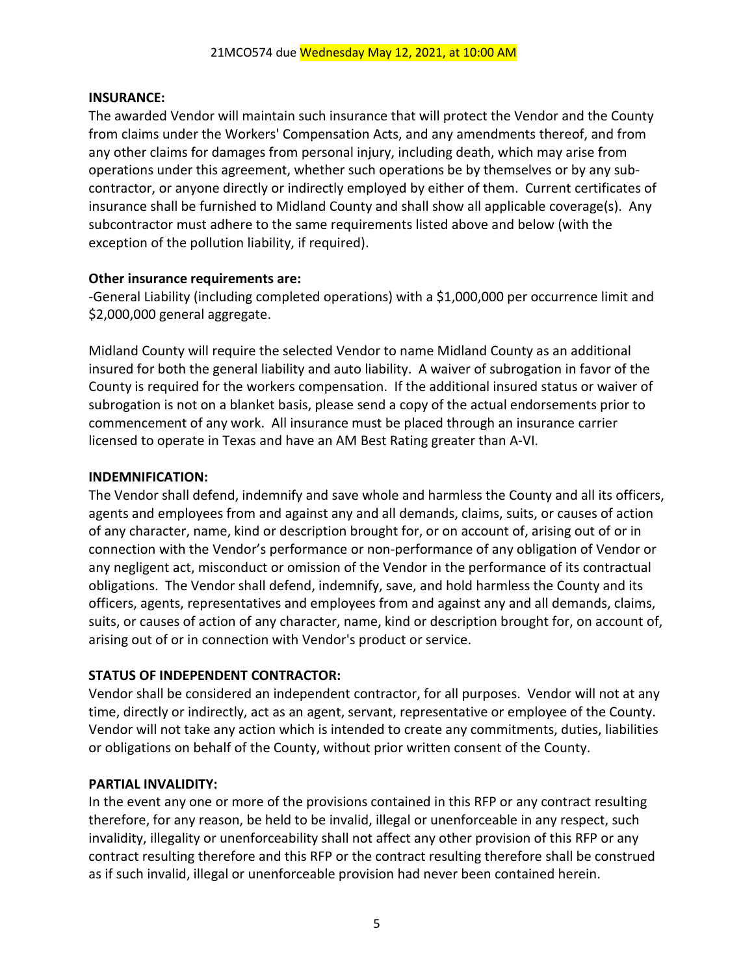#### **INSURANCE:**

The awarded Vendor will maintain such insurance that will protect the Vendor and the County from claims under the Workers' Compensation Acts, and any amendments thereof, and from any other claims for damages from personal injury, including death, which may arise from operations under this agreement, whether such operations be by themselves or by any subcontractor, or anyone directly or indirectly employed by either of them. Current certificates of insurance shall be furnished to Midland County and shall show all applicable coverage(s). Any subcontractor must adhere to the same requirements listed above and below (with the exception of the pollution liability, if required).

#### **Other insurance requirements are:**

-General Liability (including completed operations) with a \$1,000,000 per occurrence limit and \$2,000,000 general aggregate.

Midland County will require the selected Vendor to name Midland County as an additional insured for both the general liability and auto liability. A waiver of subrogation in favor of the County is required for the workers compensation. If the additional insured status or waiver of subrogation is not on a blanket basis, please send a copy of the actual endorsements prior to commencement of any work. All insurance must be placed through an insurance carrier licensed to operate in Texas and have an AM Best Rating greater than A-VI.

#### **INDEMNIFICATION:**

The Vendor shall defend, indemnify and save whole and harmless the County and all its officers, agents and employees from and against any and all demands, claims, suits, or causes of action of any character, name, kind or description brought for, or on account of, arising out of or in connection with the Vendor's performance or non-performance of any obligation of Vendor or any negligent act, misconduct or omission of the Vendor in the performance of its contractual obligations. The Vendor shall defend, indemnify, save, and hold harmless the County and its officers, agents, representatives and employees from and against any and all demands, claims, suits, or causes of action of any character, name, kind or description brought for, on account of, arising out of or in connection with Vendor's product or service.

#### **STATUS OF INDEPENDENT CONTRACTOR:**

Vendor shall be considered an independent contractor, for all purposes. Vendor will not at any time, directly or indirectly, act as an agent, servant, representative or employee of the County. Vendor will not take any action which is intended to create any commitments, duties, liabilities or obligations on behalf of the County, without prior written consent of the County.

#### **PARTIAL INVALIDITY:**

In the event any one or more of the provisions contained in this RFP or any contract resulting therefore, for any reason, be held to be invalid, illegal or unenforceable in any respect, such invalidity, illegality or unenforceability shall not affect any other provision of this RFP or any contract resulting therefore and this RFP or the contract resulting therefore shall be construed as if such invalid, illegal or unenforceable provision had never been contained herein.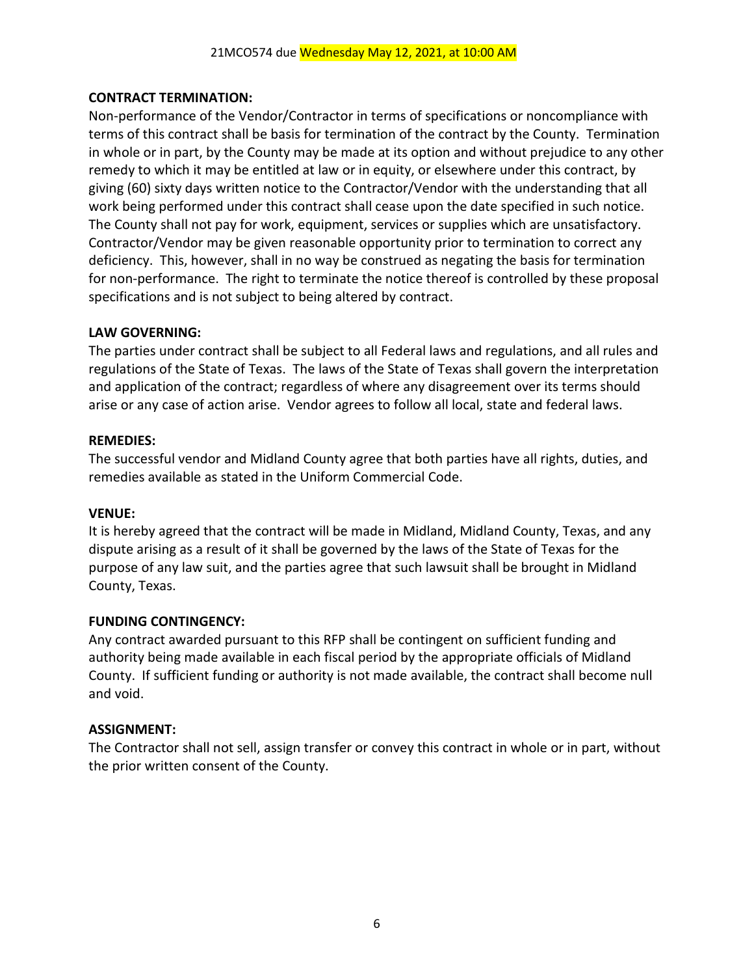# **CONTRACT TERMINATION:**

Non-performance of the Vendor/Contractor in terms of specifications or noncompliance with terms of this contract shall be basis for termination of the contract by the County. Termination in whole or in part, by the County may be made at its option and without prejudice to any other remedy to which it may be entitled at law or in equity, or elsewhere under this contract, by giving (60) sixty days written notice to the Contractor/Vendor with the understanding that all work being performed under this contract shall cease upon the date specified in such notice. The County shall not pay for work, equipment, services or supplies which are unsatisfactory. Contractor/Vendor may be given reasonable opportunity prior to termination to correct any deficiency. This, however, shall in no way be construed as negating the basis for termination for non-performance. The right to terminate the notice thereof is controlled by these proposal specifications and is not subject to being altered by contract.

### **LAW GOVERNING:**

The parties under contract shall be subject to all Federal laws and regulations, and all rules and regulations of the State of Texas. The laws of the State of Texas shall govern the interpretation and application of the contract; regardless of where any disagreement over its terms should arise or any case of action arise. Vendor agrees to follow all local, state and federal laws.

#### **REMEDIES:**

The successful vendor and Midland County agree that both parties have all rights, duties, and remedies available as stated in the Uniform Commercial Code.

#### **VENUE:**

It is hereby agreed that the contract will be made in Midland, Midland County, Texas, and any dispute arising as a result of it shall be governed by the laws of the State of Texas for the purpose of any law suit, and the parties agree that such lawsuit shall be brought in Midland County, Texas.

# **FUNDING CONTINGENCY:**

Any contract awarded pursuant to this RFP shall be contingent on sufficient funding and authority being made available in each fiscal period by the appropriate officials of Midland County. If sufficient funding or authority is not made available, the contract shall become null and void.

# **ASSIGNMENT:**

The Contractor shall not sell, assign transfer or convey this contract in whole or in part, without the prior written consent of the County.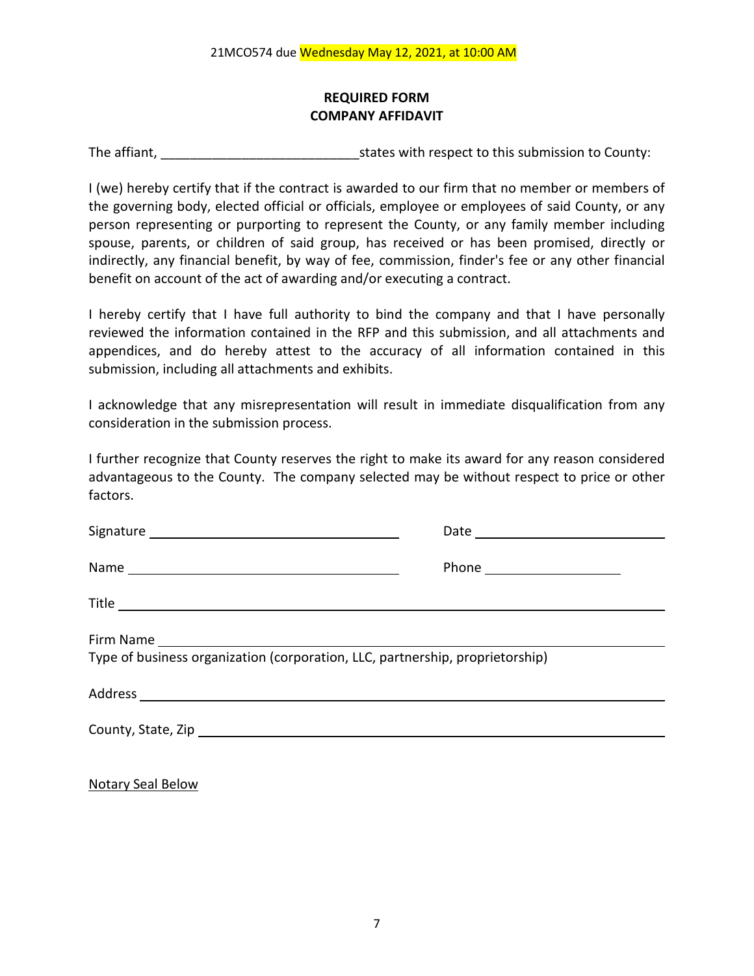# **REQUIRED FORM COMPANY AFFIDAVIT**

The affiant, The affiant, The affiant,  $\frac{1}{2}$  states with respect to this submission to County:

I (we) hereby certify that if the contract is awarded to our firm that no member or members of the governing body, elected official or officials, employee or employees of said County, or any person representing or purporting to represent the County, or any family member including spouse, parents, or children of said group, has received or has been promised, directly or indirectly, any financial benefit, by way of fee, commission, finder's fee or any other financial benefit on account of the act of awarding and/or executing a contract.

I hereby certify that I have full authority to bind the company and that I have personally reviewed the information contained in the RFP and this submission, and all attachments and appendices, and do hereby attest to the accuracy of all information contained in this submission, including all attachments and exhibits.

I acknowledge that any misrepresentation will result in immediate disqualification from any consideration in the submission process.

I further recognize that County reserves the right to make its award for any reason considered advantageous to the County. The company selected may be without respect to price or other factors.

|                                                                               | Phone _______________________ |  |  |
|-------------------------------------------------------------------------------|-------------------------------|--|--|
|                                                                               |                               |  |  |
| Type of business organization (corporation, LLC, partnership, proprietorship) |                               |  |  |
|                                                                               |                               |  |  |
|                                                                               |                               |  |  |
|                                                                               |                               |  |  |

Notary Seal Below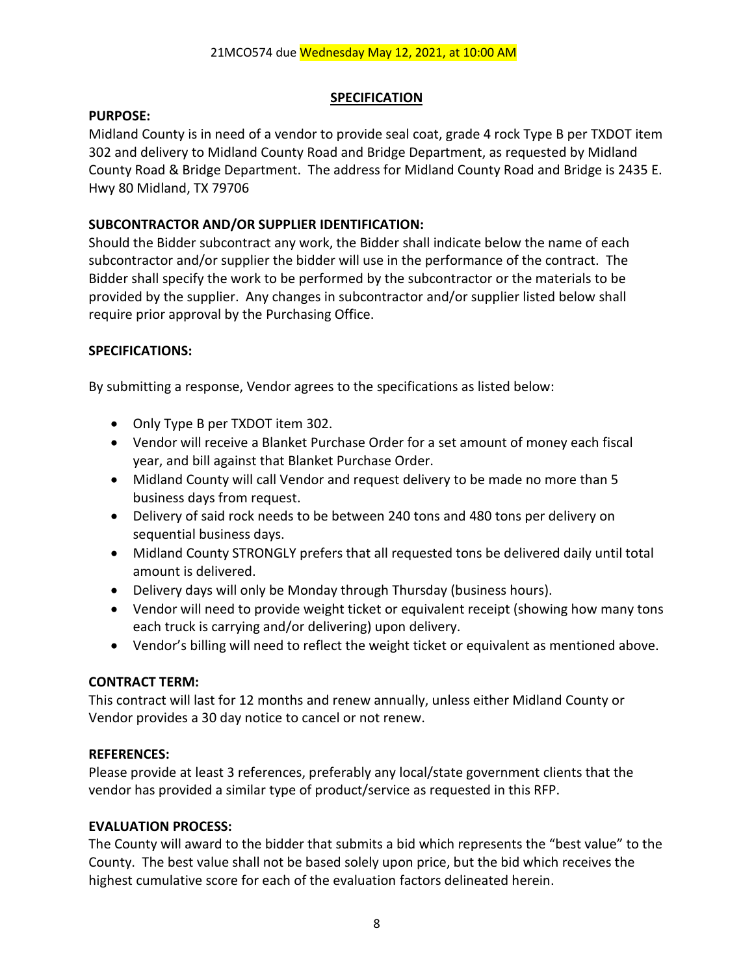### **SPECIFICATION**

### **PURPOSE:**

Midland County is in need of a vendor to provide seal coat, grade 4 rock Type B per TXDOT item 302 and delivery to Midland County Road and Bridge Department, as requested by Midland County Road & Bridge Department. The address for Midland County Road and Bridge is 2435 E. Hwy 80 Midland, TX 79706

# **SUBCONTRACTOR AND/OR SUPPLIER IDENTIFICATION:**

Should the Bidder subcontract any work, the Bidder shall indicate below the name of each subcontractor and/or supplier the bidder will use in the performance of the contract. The Bidder shall specify the work to be performed by the subcontractor or the materials to be provided by the supplier. Any changes in subcontractor and/or supplier listed below shall require prior approval by the Purchasing Office.

# **SPECIFICATIONS:**

By submitting a response, Vendor agrees to the specifications as listed below:

- Only Type B per TXDOT item 302.
- Vendor will receive a Blanket Purchase Order for a set amount of money each fiscal year, and bill against that Blanket Purchase Order.
- Midland County will call Vendor and request delivery to be made no more than 5 business days from request.
- Delivery of said rock needs to be between 240 tons and 480 tons per delivery on sequential business days.
- Midland County STRONGLY prefers that all requested tons be delivered daily until total amount is delivered.
- Delivery days will only be Monday through Thursday (business hours).
- Vendor will need to provide weight ticket or equivalent receipt (showing how many tons each truck is carrying and/or delivering) upon delivery.
- Vendor's billing will need to reflect the weight ticket or equivalent as mentioned above.

# **CONTRACT TERM:**

This contract will last for 12 months and renew annually, unless either Midland County or Vendor provides a 30 day notice to cancel or not renew.

# **REFERENCES:**

Please provide at least 3 references, preferably any local/state government clients that the vendor has provided a similar type of product/service as requested in this RFP.

# **EVALUATION PROCESS:**

The County will award to the bidder that submits a bid which represents the "best value" to the County. The best value shall not be based solely upon price, but the bid which receives the highest cumulative score for each of the evaluation factors delineated herein.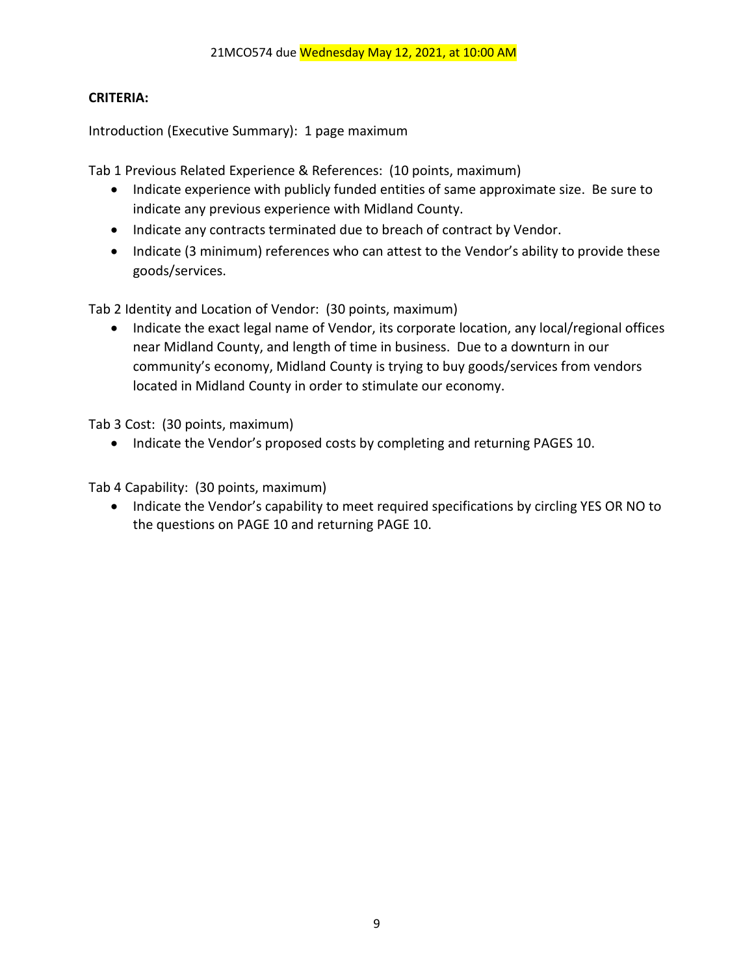# **CRITERIA:**

Introduction (Executive Summary): 1 page maximum

Tab 1 Previous Related Experience & References: (10 points, maximum)

- Indicate experience with publicly funded entities of same approximate size. Be sure to indicate any previous experience with Midland County.
- Indicate any contracts terminated due to breach of contract by Vendor.
- Indicate (3 minimum) references who can attest to the Vendor's ability to provide these goods/services.

Tab 2 Identity and Location of Vendor: (30 points, maximum)

• Indicate the exact legal name of Vendor, its corporate location, any local/regional offices near Midland County, and length of time in business. Due to a downturn in our community's economy, Midland County is trying to buy goods/services from vendors located in Midland County in order to stimulate our economy.

Tab 3 Cost: (30 points, maximum)

• Indicate the Vendor's proposed costs by completing and returning PAGES 10.

Tab 4 Capability: (30 points, maximum)

• Indicate the Vendor's capability to meet required specifications by circling YES OR NO to the questions on PAGE 10 and returning PAGE 10.